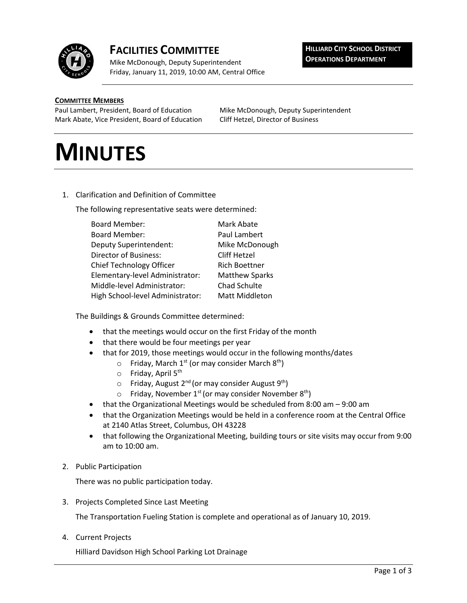

## **FACILITIES COMMITTEE**

Mike McDonough, Deputy Superintendent Friday, January 11, 2019, 10:00 AM, Central Office **HILLIARD CITY SCHOOL DISTRICT OPERATIONS DEPARTMENT**

## **COMMITTEE MEMBERS**

Paul Lambert, President, Board of Education Mike McDonough, Deputy Superintendent Mark Abate, Vice President, Board of Education Cliff Hetzel, Director of Business

## **MINUTES**

1. Clarification and Definition of Committee

The following representative seats were determined:

| <b>Board Member:</b>                                     | Mark Abate            |
|----------------------------------------------------------|-----------------------|
| <b>Board Member:</b>                                     | Paul Lambert          |
| <b>Deputy Superintendent:</b>                            | Mike McDonough        |
| <b>Director of Business:</b>                             | Cliff Hetzel          |
| Chief Technology Officer<br><b>Rich Boettner</b>         |                       |
| Elementary-level Administrator:<br><b>Matthew Sparks</b> |                       |
| Middle-level Administrator:                              | Chad Schulte          |
| High School-level Administrator:                         | <b>Matt Middleton</b> |

The Buildings & Grounds Committee determined:

- that the meetings would occur on the first Friday of the month
- that there would be four meetings per year
- that for 2019, those meetings would occur in the following months/dates
	- $\circ$  Friday, March 1<sup>st</sup> (or may consider March 8<sup>th</sup>)
	- o Friday, April 5<sup>th</sup>
	- $\circ$  Friday, August 2<sup>nd</sup> (or may consider August 9<sup>th</sup>)
	- $\circ$  Friday, November 1<sup>st</sup> (or may consider November 8<sup>th</sup>)
- that the Organizational Meetings would be scheduled from 8:00 am 9:00 am
- that the Organization Meetings would be held in a conference room at the Central Office at 2140 Atlas Street, Columbus, OH 43228
- that following the Organizational Meeting, building tours or site visits may occur from 9:00 am to 10:00 am.
- 2. Public Participation

There was no public participation today.

3. Projects Completed Since Last Meeting

The Transportation Fueling Station is complete and operational as of January 10, 2019.

4. Current Projects

Hilliard Davidson High School Parking Lot Drainage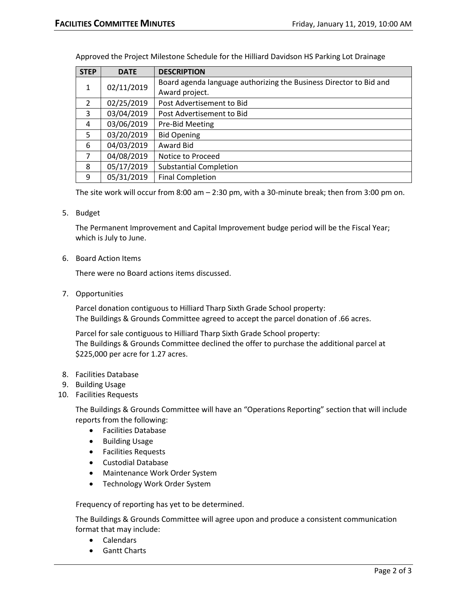| <b>STEP</b>    | <b>DATE</b> | <b>DESCRIPTION</b>                                                 |
|----------------|-------------|--------------------------------------------------------------------|
| 1              | 02/11/2019  | Board agenda language authorizing the Business Director to Bid and |
|                |             | Award project.                                                     |
| 2              | 02/25/2019  | Post Advertisement to Bid                                          |
| 3              | 03/04/2019  | Post Advertisement to Bid                                          |
| 4              | 03/06/2019  | Pre-Bid Meeting                                                    |
| 5              | 03/20/2019  | <b>Bid Opening</b>                                                 |
| 6              | 04/03/2019  | Award Bid                                                          |
| $\overline{7}$ | 04/08/2019  | Notice to Proceed                                                  |
| 8              | 05/17/2019  | <b>Substantial Completion</b>                                      |
| 9              | 05/31/2019  | <b>Final Completion</b>                                            |

Approved the Project Milestone Schedule for the Hilliard Davidson HS Parking Lot Drainage

The site work will occur from 8:00 am – 2:30 pm, with a 30-minute break; then from 3:00 pm on.

5. Budget

The Permanent Improvement and Capital Improvement budge period will be the Fiscal Year; which is July to June.

6. Board Action Items

There were no Board actions items discussed.

7. Opportunities

Parcel donation contiguous to Hilliard Tharp Sixth Grade School property: The Buildings & Grounds Committee agreed to accept the parcel donation of .66 acres.

Parcel for sale contiguous to Hilliard Tharp Sixth Grade School property: The Buildings & Grounds Committee declined the offer to purchase the additional parcel at \$225,000 per acre for 1.27 acres.

- 8. Facilities Database
- 9. Building Usage
- 10. Facilities Requests

The Buildings & Grounds Committee will have an "Operations Reporting" section that will include reports from the following:

- Facilities Database
- Building Usage
- Facilities Requests
- Custodial Database
- Maintenance Work Order System
- Technology Work Order System

Frequency of reporting has yet to be determined.

The Buildings & Grounds Committee will agree upon and produce a consistent communication format that may include:

- Calendars
- Gantt Charts